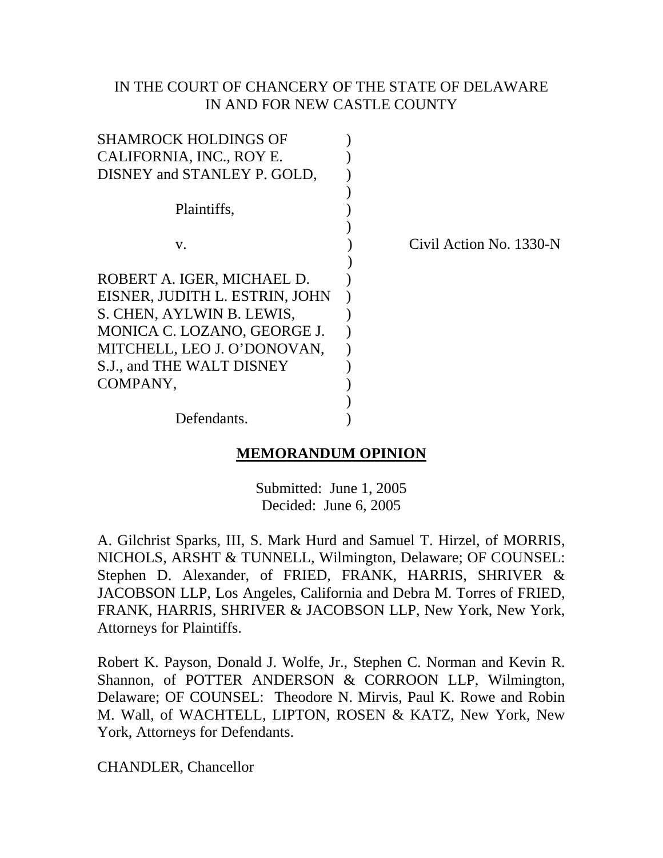## IN THE COURT OF CHANCERY OF THE STATE OF DELAWARE IN AND FOR NEW CASTLE COUNTY

| Civil Action No. 1330-N |
|-------------------------|
|                         |
|                         |
|                         |
|                         |
|                         |
|                         |
|                         |
|                         |
|                         |
|                         |
|                         |

### **MEMORANDUM OPINION**

Submitted: June 1, 2005 Decided: June 6, 2005

A. Gilchrist Sparks, III, S. Mark Hurd and Samuel T. Hirzel, of MORRIS, NICHOLS, ARSHT & TUNNELL, Wilmington, Delaware; OF COUNSEL: Stephen D. Alexander, of FRIED, FRANK, HARRIS, SHRIVER & JACOBSON LLP, Los Angeles, California and Debra M. Torres of FRIED, FRANK, HARRIS, SHRIVER & JACOBSON LLP, New York, New York, Attorneys for Plaintiffs.

Robert K. Payson, Donald J. Wolfe, Jr., Stephen C. Norman and Kevin R. Shannon, of POTTER ANDERSON & CORROON LLP, Wilmington, Delaware; OF COUNSEL: Theodore N. Mirvis, Paul K. Rowe and Robin M. Wall, of WACHTELL, LIPTON, ROSEN & KATZ, New York, New York, Attorneys for Defendants.

CHANDLER, Chancellor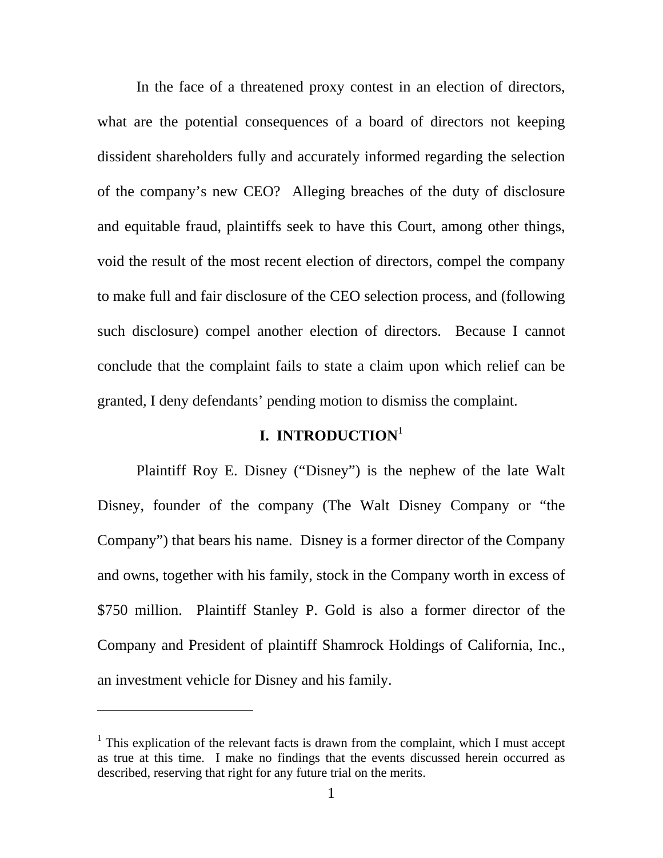In the face of a threatened proxy contest in an election of directors, what are the potential consequences of a board of directors not keeping dissident shareholders fully and accurately informed regarding the selection of the company's new CEO? Alleging breaches of the duty of disclosure and equitable fraud, plaintiffs seek to have this Court, among other things, void the result of the most recent election of directors, compel the company to make full and fair disclosure of the CEO selection process, and (following such disclosure) compel another election of directors. Because I cannot conclude that the complaint fails to state a claim upon which relief can be granted, I deny defendants' pending motion to dismiss the complaint.

### **I. INTRODUCTION**[1](#page-1-0)

Plaintiff Roy E. Disney ("Disney") is the nephew of the late Walt Disney, founder of the company (The Walt Disney Company or "the Company") that bears his name. Disney is a former director of the Company and owns, together with his family, stock in the Company worth in excess of \$750 million. Plaintiff Stanley P. Gold is also a former director of the Company and President of plaintiff Shamrock Holdings of California, Inc., an investment vehicle for Disney and his family.

<span id="page-1-0"></span><sup>&</sup>lt;sup>1</sup> This explication of the relevant facts is drawn from the complaint, which I must accept as true at this time. I make no findings that the events discussed herein occurred as described, reserving that right for any future trial on the merits.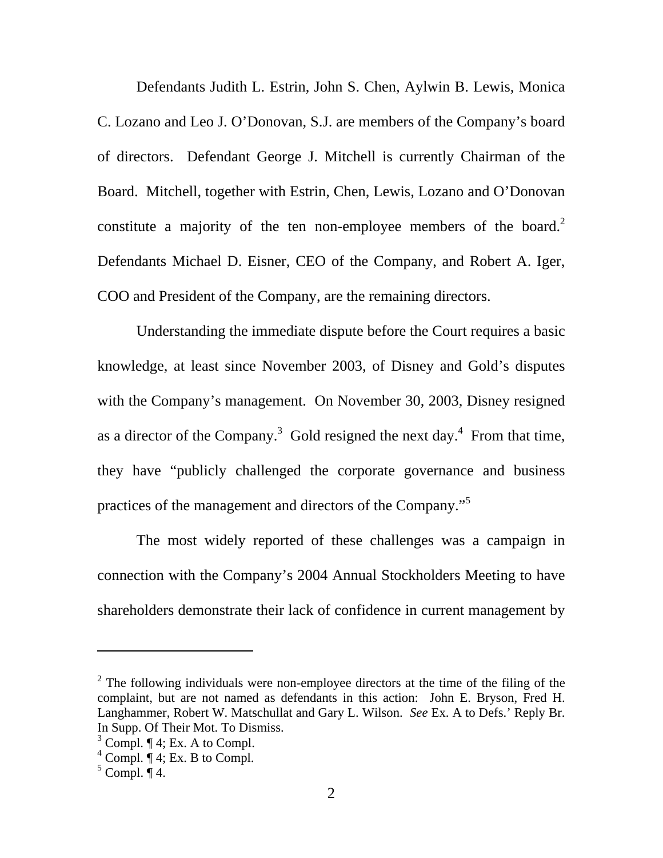Defendants Judith L. Estrin, John S. Chen, Aylwin B. Lewis, Monica C. Lozano and Leo J. O'Donovan, S.J. are members of the Company's board of directors. Defendant George J. Mitchell is currently Chairman of the Board. Mitchell, together with Estrin, Chen, Lewis, Lozano and O'Donovan constitute a majority of the ten non-employee members of the board.<sup>[2](#page-2-0)</sup> Defendants Michael D. Eisner, CEO of the Company, and Robert A. Iger, COO and President of the Company, are the remaining directors.

Understanding the immediate dispute before the Court requires a basic knowledge, at least since November 2003, of Disney and Gold's disputes with the Company's management. On November 30, 2003, Disney resigned as a director of the Company.<sup>[3](#page-2-1)</sup> Gold resigned the next day.<sup>4</sup> From that time, they have "publicly challenged the corporate governance and business practices of the management and directors of the Company."[5](#page-2-3)

The most widely reported of these challenges was a campaign in connection with the Company's 2004 Annual Stockholders Meeting to have shareholders demonstrate their lack of confidence in current management by

<span id="page-2-0"></span> $2^2$  The following individuals were non-employee directors at the time of the filing of the complaint, but are not named as defendants in this action: John E. Bryson, Fred H. Langhammer, Robert W. Matschullat and Gary L. Wilson. *See* Ex. A to Defs.' Reply Br. In Supp. Of Their Mot. To Dismiss.

<span id="page-2-1"></span> $3$  Compl.  $\P$  4; Ex. A to Compl.

<span id="page-2-2"></span> $4^4$  Compl.  $\P$  4; Ex. B to Compl.

<span id="page-2-3"></span> $5$  Compl.  $\P$  4.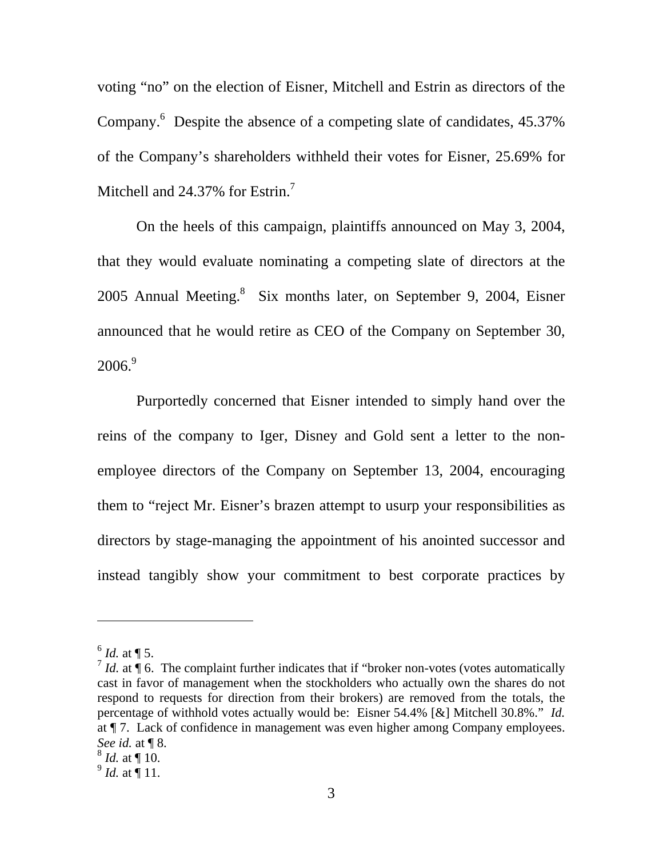voting "no" on the election of Eisner, Mitchell and Estrin as directors of the Company.<sup>[6](#page-3-0)</sup> Despite the absence of a competing slate of candidates, 45.37% of the Company's shareholders withheld their votes for Eisner, 25.69% for Mitchell and 24.3[7](#page-3-1)% for Estrin.<sup>7</sup>

On the heels of this campaign, plaintiffs announced on May 3, 2004, that they would evaluate nominating a competing slate of directors at the 2005 Annual Meeting.<sup>[8](#page-3-2)</sup> Six months later, on September 9, 2004, Eisner announced that he would retire as CEO of the Company on September 30,  $2006.<sup>9</sup>$  $2006.<sup>9</sup>$  $2006.<sup>9</sup>$ 

Purportedly concerned that Eisner intended to simply hand over the reins of the company to Iger, Disney and Gold sent a letter to the nonemployee directors of the Company on September 13, 2004, encouraging them to "reject Mr. Eisner's brazen attempt to usurp your responsibilities as directors by stage-managing the appointment of his anointed successor and instead tangibly show your commitment to best corporate practices by

<span id="page-3-0"></span> $^{6}$  *Id.* at ¶ 5.

<span id="page-3-1"></span> $\frac{7}{1}$  *Id.* at  $\frac{1}{3}$  6. The complaint further indicates that if "broker non-votes (votes automatically cast in favor of management when the stockholders who actually own the shares do not respond to requests for direction from their brokers) are removed from the totals, the percentage of withhold votes actually would be: Eisner 54.4% [&] Mitchell 30.8%." *Id.* at ¶ 7. Lack of confidence in management was even higher among Company employees. *See id.* at ¶ 8.

<span id="page-3-2"></span><sup>8</sup> *Id.* at ¶ 10.

<span id="page-3-3"></span> $^{9}$  *Id.* at  $\stackrel{1}{\P}$  11.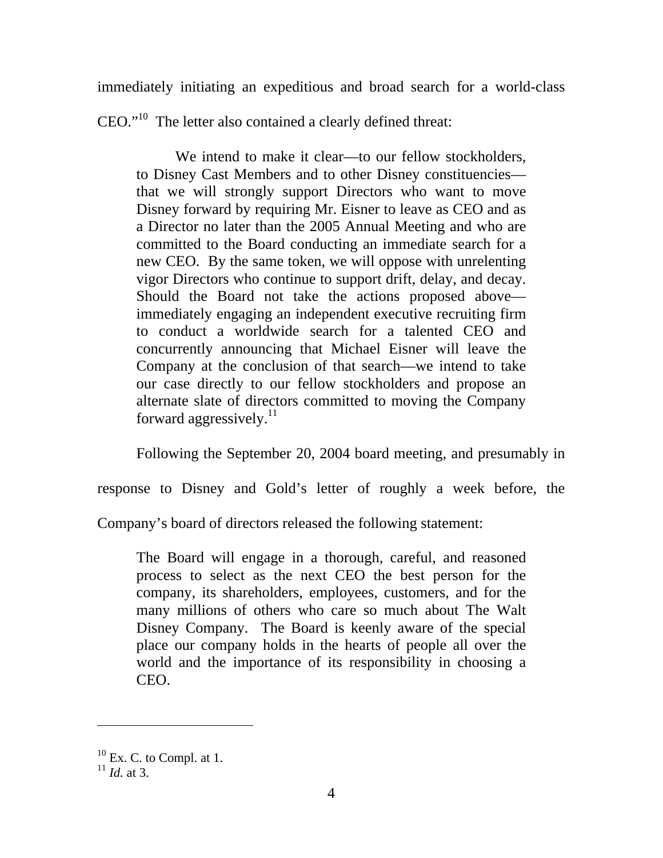immediately initiating an expeditious and broad search for a world-class

CEO."[10](#page-4-0) The letter also contained a clearly defined threat:

We intend to make it clear—to our fellow stockholders, to Disney Cast Members and to other Disney constituencies that we will strongly support Directors who want to move Disney forward by requiring Mr. Eisner to leave as CEO and as a Director no later than the 2005 Annual Meeting and who are committed to the Board conducting an immediate search for a new CEO. By the same token, we will oppose with unrelenting vigor Directors who continue to support drift, delay, and decay. Should the Board not take the actions proposed above immediately engaging an independent executive recruiting firm to conduct a worldwide search for a talented CEO and concurrently announcing that Michael Eisner will leave the Company at the conclusion of that search—we intend to take our case directly to our fellow stockholders and propose an alternate slate of directors committed to moving the Company forward aggressively. $11$ 

Following the September 20, 2004 board meeting, and presumably in

response to Disney and Gold's letter of roughly a week before, the

Company's board of directors released the following statement:

The Board will engage in a thorough, careful, and reasoned process to select as the next CEO the best person for the company, its shareholders, employees, customers, and for the many millions of others who care so much about The Walt Disney Company. The Board is keenly aware of the special place our company holds in the hearts of people all over the world and the importance of its responsibility in choosing a CEO.

l

<span id="page-4-0"></span> $10$  Ex. C. to Compl. at 1.

<span id="page-4-1"></span> $^{11}$  *Id.* at 3.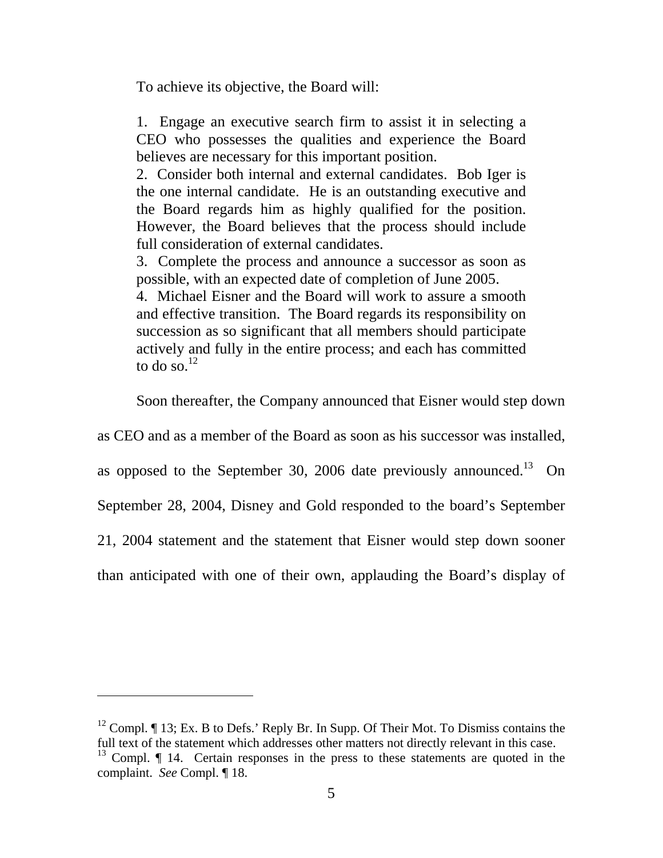To achieve its objective, the Board will:

1. Engage an executive search firm to assist it in selecting a CEO who possesses the qualities and experience the Board believes are necessary for this important position.

2. Consider both internal and external candidates. Bob Iger is the one internal candidate. He is an outstanding executive and the Board regards him as highly qualified for the position. However, the Board believes that the process should include full consideration of external candidates.

3. Complete the process and announce a successor as soon as possible, with an expected date of completion of June 2005.

4. Michael Eisner and the Board will work to assure a smooth and effective transition. The Board regards its responsibility on succession as so significant that all members should participate actively and fully in the entire process; and each has committed to do so. $^{12}$  $^{12}$  $^{12}$ 

Soon thereafter, the Company announced that Eisner would step down

as CEO and as a member of the Board as soon as his successor was installed,

as opposed to the September 30, 2006 date previously announced.<sup>13</sup> On

September 28, 2004, Disney and Gold responded to the board's September

21, 2004 statement and the statement that Eisner would step down sooner

than anticipated with one of their own, applauding the Board's display of

-

<span id="page-5-1"></span><span id="page-5-0"></span><sup>&</sup>lt;sup>12</sup> Compl.  $\P$  13; Ex. B to Defs.' Reply Br. In Supp. Of Their Mot. To Dismiss contains the full text of the statement which addresses other matters not directly relevant in this case.  $13$  Compl.  $\P$  14. Certain responses in the press to these statements are quoted in the complaint. *See* Compl. ¶ 18.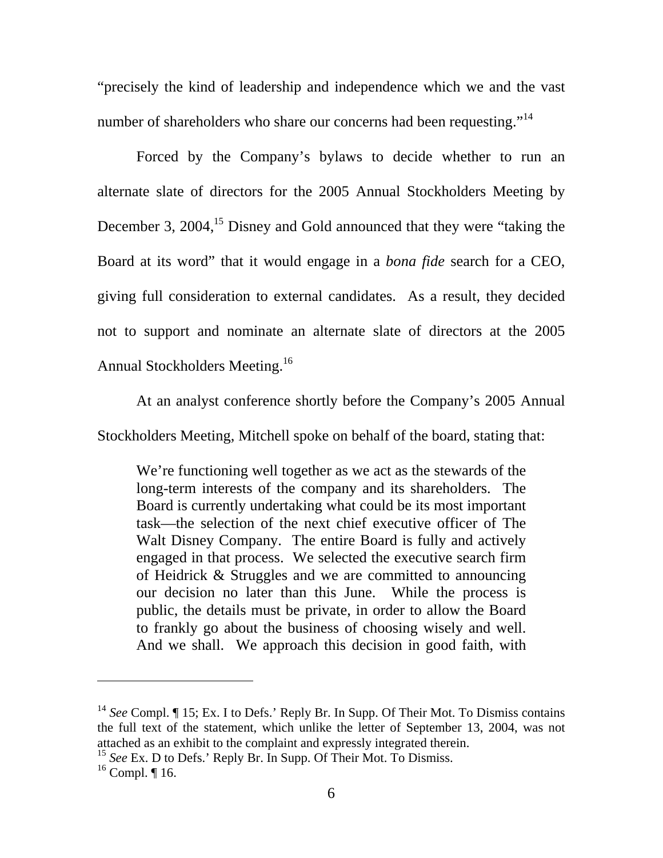"precisely the kind of leadership and independence which we and the vast number of shareholders who share our concerns had been requesting."<sup>[14](#page-6-0)</sup>

Forced by the Company's bylaws to decide whether to run an alternate slate of directors for the 2005 Annual Stockholders Meeting by December 3,  $2004$ ,<sup>15</sup> Disney and Gold announced that they were "taking the Board at its word" that it would engage in a *bona fide* search for a CEO, giving full consideration to external candidates. As a result, they decided not to support and nominate an alternate slate of directors at the 2005 Annual Stockholders Meeting.[16](#page-6-2)

At an analyst conference shortly before the Company's 2005 Annual Stockholders Meeting, Mitchell spoke on behalf of the board, stating that:

We're functioning well together as we act as the stewards of the long-term interests of the company and its shareholders. The Board is currently undertaking what could be its most important task—the selection of the next chief executive officer of The Walt Disney Company. The entire Board is fully and actively engaged in that process. We selected the executive search firm of Heidrick & Struggles and we are committed to announcing our decision no later than this June. While the process is public, the details must be private, in order to allow the Board to frankly go about the business of choosing wisely and well. And we shall. We approach this decision in good faith, with

<span id="page-6-0"></span><sup>&</sup>lt;sup>14</sup> See Compl. ¶ 15; Ex. I to Defs.' Reply Br. In Supp. Of Their Mot. To Dismiss contains the full text of the statement, which unlike the letter of September 13, 2004, was not attached as an exhibit to the complaint and expressly integrated therein.

<span id="page-6-1"></span><sup>&</sup>lt;sup>15</sup> *See* Ex. D to Defs.' Reply Br. In Supp. Of Their Mot. To Dismiss.

<span id="page-6-2"></span> $16$  Compl.  $\P$  16.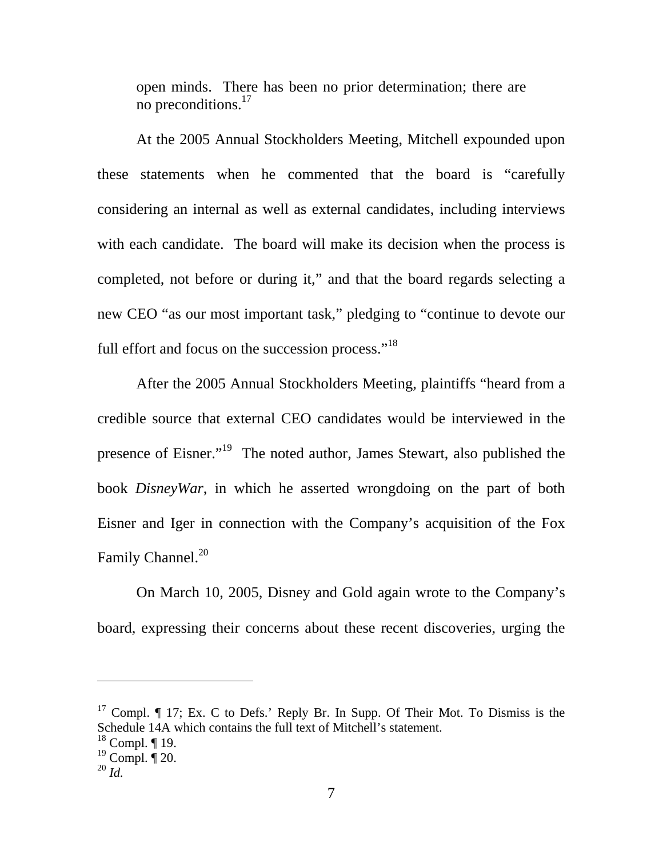open minds. There has been no prior determination; there are no preconditions.[17](#page-7-0)

At the 2005 Annual Stockholders Meeting, Mitchell expounded upon these statements when he commented that the board is "carefully considering an internal as well as external candidates, including interviews with each candidate. The board will make its decision when the process is completed, not before or during it," and that the board regards selecting a new CEO "as our most important task," pledging to "continue to devote our full effort and focus on the succession process."<sup>[18](#page-7-1)</sup>

After the 2005 Annual Stockholders Meeting, plaintiffs "heard from a credible source that external CEO candidates would be interviewed in the presence of Eisner."[19](#page-7-2) The noted author, James Stewart, also published the book *DisneyWar*, in which he asserted wrongdoing on the part of both Eisner and Iger in connection with the Company's acquisition of the Fox Family Channel.<sup>[20](#page-7-3)</sup>

On March 10, 2005, Disney and Gold again wrote to the Company's board, expressing their concerns about these recent discoveries, urging the

<span id="page-7-0"></span> $17$  Compl.  $\P$  17; Ex. C to Defs.' Reply Br. In Supp. Of Their Mot. To Dismiss is the Schedule 14A which contains the full text of Mitchell's statement.

<span id="page-7-1"></span> $18$  Compl.  $\P$  19.

<span id="page-7-2"></span> $19$  Compl.  $\P$  20.

<span id="page-7-3"></span><sup>20</sup> *Id.*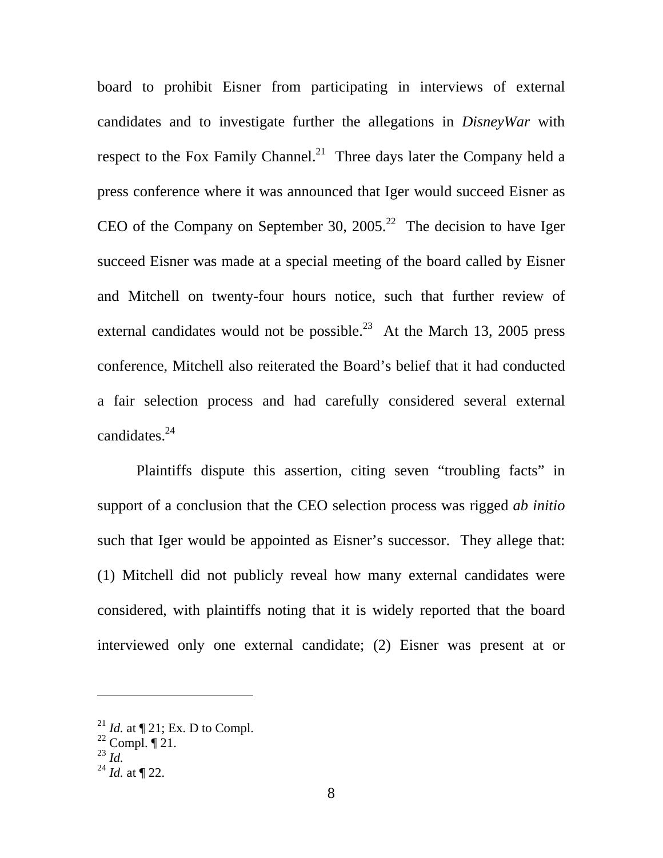board to prohibit Eisner from participating in interviews of external candidates and to investigate further the allegations in *DisneyWar* with respect to the Fox Family Channel.<sup>21</sup> Three days later the Company held a press conference where it was announced that Iger would succeed Eisner as CEO of the Company on September 30, 2005.<sup>22</sup> The decision to have Iger succeed Eisner was made at a special meeting of the board called by Eisner and Mitchell on twenty-four hours notice, such that further review of external candidates would not be possible.<sup>23</sup> At the March 13, 2005 press conference, Mitchell also reiterated the Board's belief that it had conducted a fair selection process and had carefully considered several external candidates. $24$ 

Plaintiffs dispute this assertion, citing seven "troubling facts" in support of a conclusion that the CEO selection process was rigged *ab initio* such that Iger would be appointed as Eisner's successor. They allege that: (1) Mitchell did not publicly reveal how many external candidates were considered, with plaintiffs noting that it is widely reported that the board interviewed only one external candidate; (2) Eisner was present at or

<span id="page-8-0"></span><sup>&</sup>lt;sup>21</sup> *Id.* at  $\P$  21; Ex. D to Compl.

<span id="page-8-1"></span> $22$  Compl.  $\P$  21.

<span id="page-8-2"></span><sup>23</sup> *Id.* 

<span id="page-8-3"></span> $^{24}$  *Id.* at ¶ 22.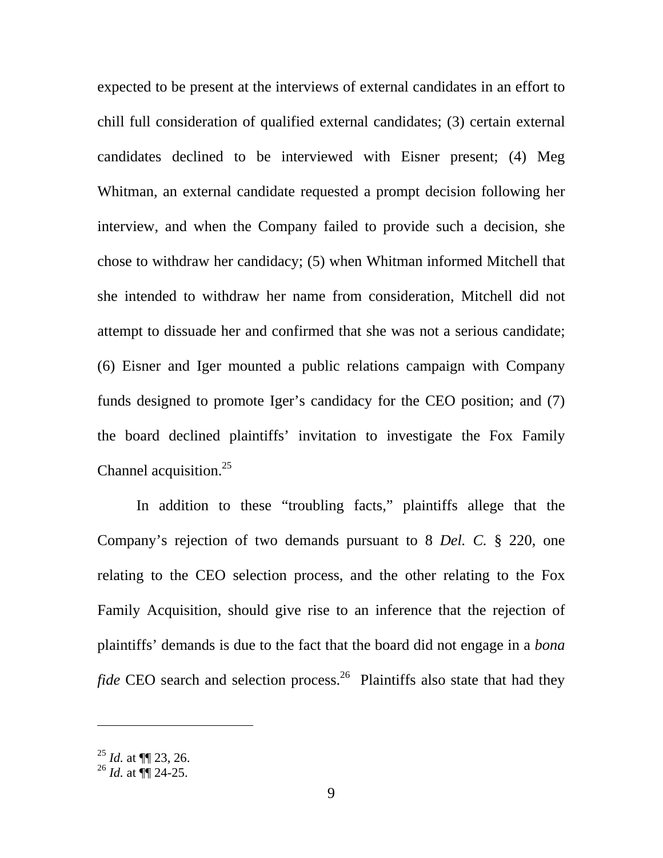expected to be present at the interviews of external candidates in an effort to chill full consideration of qualified external candidates; (3) certain external candidates declined to be interviewed with Eisner present; (4) Meg Whitman, an external candidate requested a prompt decision following her interview, and when the Company failed to provide such a decision, she chose to withdraw her candidacy; (5) when Whitman informed Mitchell that she intended to withdraw her name from consideration, Mitchell did not attempt to dissuade her and confirmed that she was not a serious candidate; (6) Eisner and Iger mounted a public relations campaign with Company funds designed to promote Iger's candidacy for the CEO position; and (7) the board declined plaintiffs' invitation to investigate the Fox Family Channel acquisition.<sup>[25](#page-9-0)</sup>

In addition to these "troubling facts," plaintiffs allege that the Company's rejection of two demands pursuant to 8 *Del. C.* § 220, one relating to the CEO selection process, and the other relating to the Fox Family Acquisition, should give rise to an inference that the rejection of plaintiffs' demands is due to the fact that the board did not engage in a *bona fide* CEO search and selection process.<sup>26</sup> Plaintiffs also state that had they

<span id="page-9-0"></span><sup>25</sup> *Id.* at ¶¶ 23, 26.

<span id="page-9-1"></span> $^{26}$  *Id.* at  $\P$  24-25.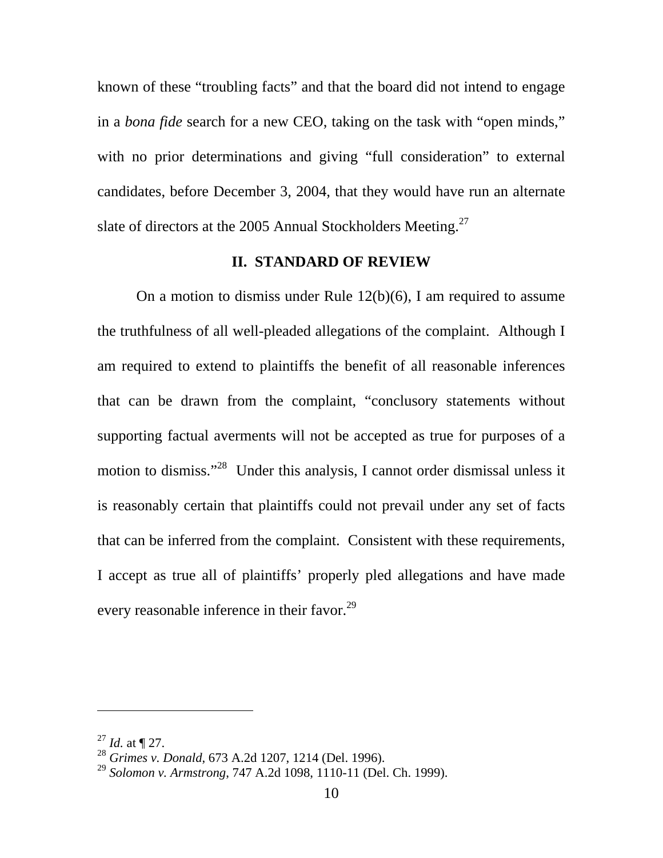known of these "troubling facts" and that the board did not intend to engage in a *bona fide* search for a new CEO, taking on the task with "open minds," with no prior determinations and giving "full consideration" to external candidates, before December 3, 2004, that they would have run an alternate slate of directors at the 2005 Annual Stockholders Meeting.<sup>[27](#page-10-0)</sup>

#### **II. STANDARD OF REVIEW**

On a motion to dismiss under Rule 12(b)(6), I am required to assume the truthfulness of all well-pleaded allegations of the complaint. Although I am required to extend to plaintiffs the benefit of all reasonable inferences that can be drawn from the complaint, "conclusory statements without supporting factual averments will not be accepted as true for purposes of a motion to dismiss."<sup>[28](#page-10-1)</sup> Under this analysis, I cannot order dismissal unless it is reasonably certain that plaintiffs could not prevail under any set of facts that can be inferred from the complaint. Consistent with these requirements, I accept as true all of plaintiffs' properly pled allegations and have made every reasonable inference in their favor.<sup>[29](#page-10-2)</sup>

<span id="page-10-0"></span> $^{27}$  *Id.* at ¶ 27.

<span id="page-10-1"></span><sup>28</sup> *Grimes v. Donald*, 673 A.2d 1207, 1214 (Del. 1996).

<span id="page-10-2"></span><sup>29</sup> *Solomon v. Armstrong*, 747 A.2d 1098, 1110-11 (Del. Ch. 1999).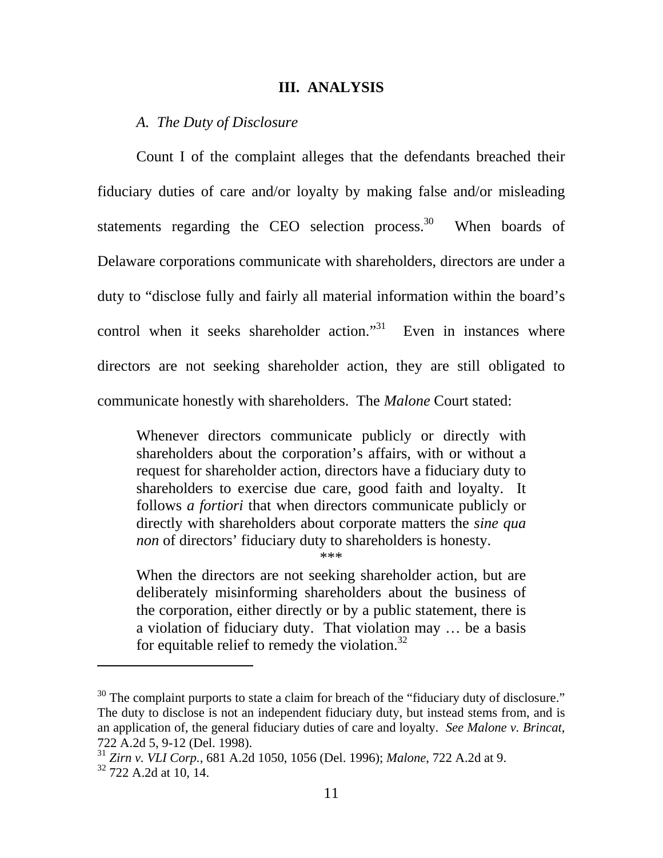#### **III. ANALYSIS**

#### *A. The Duty of Disclosure*

Count I of the complaint alleges that the defendants breached their fiduciary duties of care and/or loyalty by making false and/or misleading statements regarding the CEO selection process.<sup>30</sup> When boards of Delaware corporations communicate with shareholders, directors are under a duty to "disclose fully and fairly all material information within the board's control when it seeks shareholder action."<sup>31</sup> Even in instances where directors are not seeking shareholder action, they are still obligated to communicate honestly with shareholders. The *Malone* Court stated:

Whenever directors communicate publicly or directly with shareholders about the corporation's affairs, with or without a request for shareholder action, directors have a fiduciary duty to shareholders to exercise due care, good faith and loyalty. It follows *a fortiori* that when directors communicate publicly or directly with shareholders about corporate matters the *sine qua non* of directors' fiduciary duty to shareholders is honesty.

\*\*\*

When the directors are not seeking shareholder action, but are deliberately misinforming shareholders about the business of the corporation, either directly or by a public statement, there is a violation of fiduciary duty. That violation may … be a basis for equitable relief to remedy the violation. $32$ 

<span id="page-11-0"></span> $30$  The complaint purports to state a claim for breach of the "fiduciary duty of disclosure." The duty to disclose is not an independent fiduciary duty, but instead stems from, and is an application of, the general fiduciary duties of care and loyalty. *See Malone v. Brincat*, 722 A.2d 5, 9-12 (Del. 1998).

<span id="page-11-2"></span><span id="page-11-1"></span><sup>31</sup> *Zirn v. VLI Corp.*, 681 A.2d 1050, 1056 (Del. 1996); *Malone*, 722 A.2d at 9. 32 722 A.2d at 10, 14.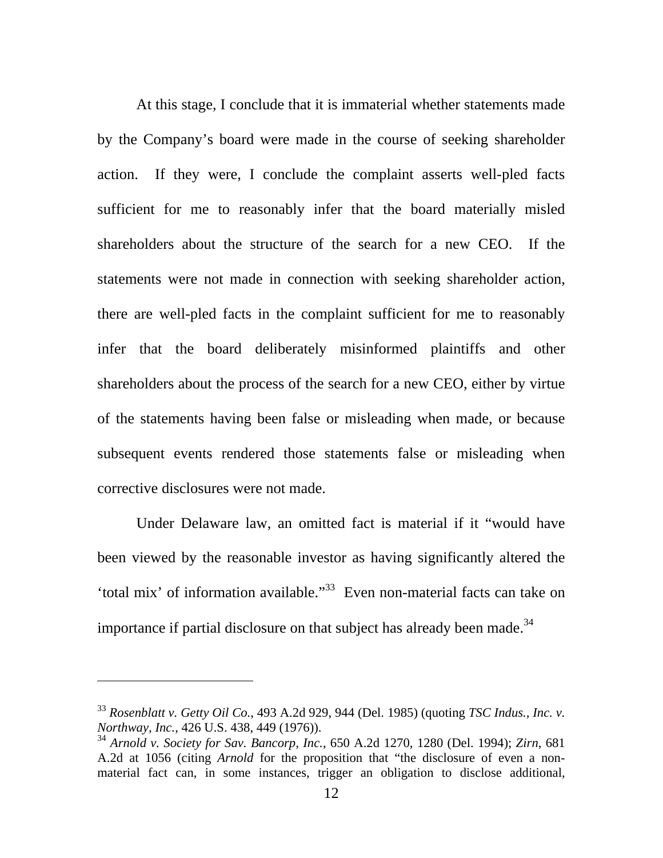<span id="page-12-1"></span>At this stage, I conclude that it is immaterial whether statements made by the Company's board were made in the course of seeking shareholder action. If they were, I conclude the complaint asserts well-pled facts sufficient for me to reasonably infer that the board materially misled shareholders about the structure of the search for a new CEO. If the statements were not made in connection with seeking shareholder action, there are well-pled facts in the complaint sufficient for me to reasonably infer that the board deliberately misinformed plaintiffs and other shareholders about the process of the search for a new CEO, either by virtue of the statements having been false or misleading when made, or because subsequent events rendered those statements false or misleading when corrective disclosures were not made.

Under Delaware law, an omitted fact is material if it "would have been viewed by the reasonable investor as having significantly altered the 'total mix' of information available."[33](#page-12-0) Even non-material facts can take on importance if partial disclosure on that subject has already been made.<sup>[34](#page-12-1)</sup>

<span id="page-12-0"></span><sup>33</sup> *Rosenblatt v. Getty Oil Co.*, 493 A.2d 929, 944 (Del. 1985) (quoting *TSC Indus., Inc. v. Northway, Inc.*, 426 U.S. 438, 449 (1976)).

<sup>34</sup> *Arnold v. Society for Sav. Bancorp, Inc.*, 650 A.2d 1270, 1280 (Del. 1994); *Zirn*, 681 A.2d at 1056 (citing *Arnold* for the proposition that "the disclosure of even a nonmaterial fact can, in some instances, trigger an obligation to disclose additional,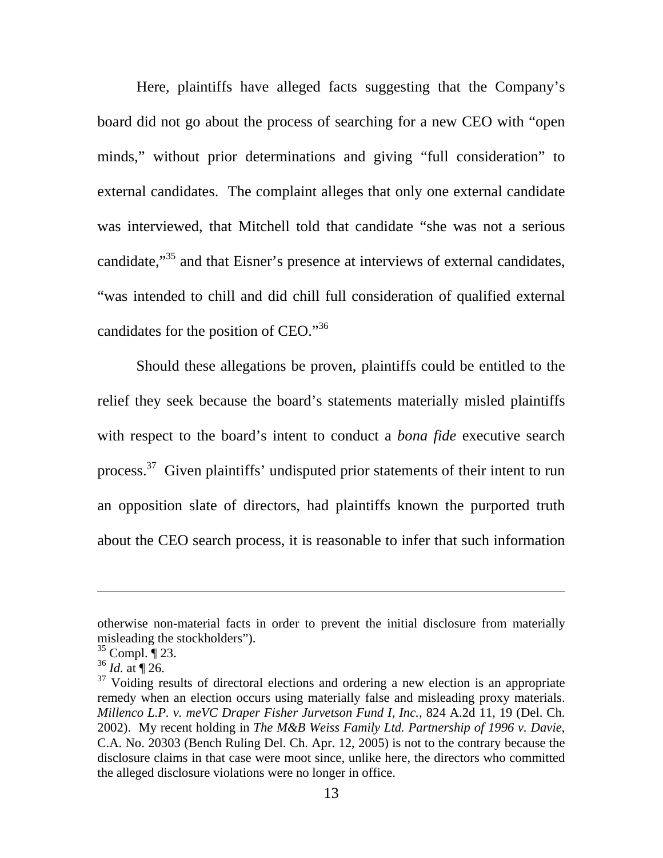Here, plaintiffs have alleged facts suggesting that the Company's board did not go about the process of searching for a new CEO with "open minds," without prior determinations and giving "full consideration" to external candidates. The complaint alleges that only one external candidate was interviewed, that Mitchell told that candidate "she was not a serious candidate,<sup>35</sup> and that Eisner's presence at interviews of external candidates, "was intended to chill and did chill full consideration of qualified external candidates for the position of CEO."[36](#page-13-1) 

Should these allegations be proven, plaintiffs could be entitled to the relief they seek because the board's statements materially misled plaintiffs with respect to the board's intent to conduct a *bona fide* executive search process.<sup>37</sup> Given plaintiffs' undisputed prior statements of their intent to run an opposition slate of directors, had plaintiffs known the purported truth about the CEO search process, it is reasonable to infer that such information

otherwise non-material facts in order to prevent the initial disclosure from materially misleading the stockholders").

<span id="page-13-0"></span> $35$  Compl.  $\P$  23.

<span id="page-13-1"></span> $36$  *Id.* at  $\P$  26.

<span id="page-13-2"></span> $37$  Voiding results of directoral elections and ordering a new election is an appropriate remedy when an election occurs using materially false and misleading proxy materials. *Millenco L.P. v. meVC Draper Fisher Jurvetson Fund I, Inc.*, 824 A.2d 11, 19 (Del. Ch. 2002). My recent holding in *The M&B Weiss Family Ltd. Partnership of 1996 v. Davie*, C.A. No. 20303 (Bench Ruling Del. Ch. Apr. 12, 2005) is not to the contrary because the disclosure claims in that case were moot since, unlike here, the directors who committed the alleged disclosure violations were no longer in office.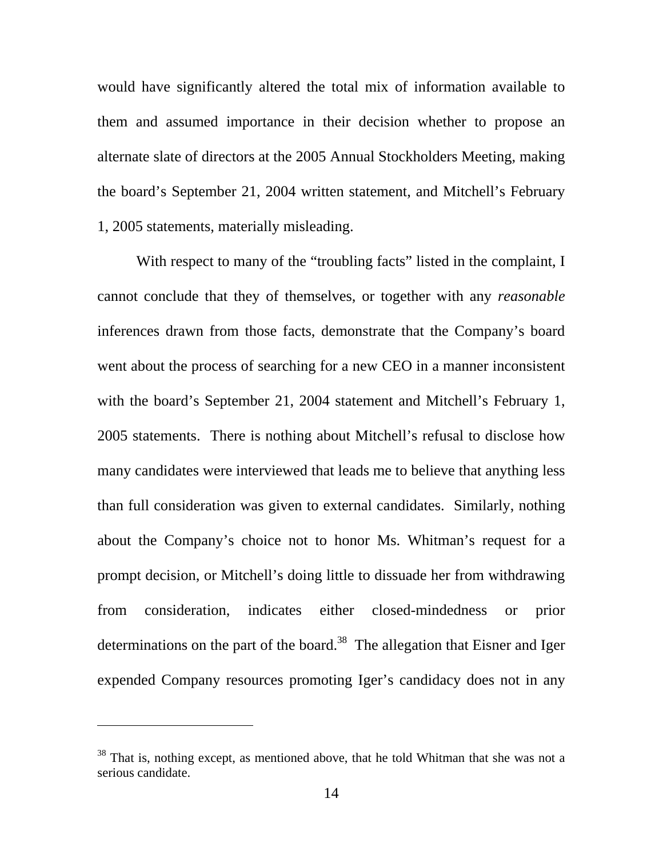would have significantly altered the total mix of information available to them and assumed importance in their decision whether to propose an alternate slate of directors at the 2005 Annual Stockholders Meeting, making the board's September 21, 2004 written statement, and Mitchell's February 1, 2005 statements, materially misleading.

With respect to many of the "troubling facts" listed in the complaint, I cannot conclude that they of themselves, or together with any *reasonable* inferences drawn from those facts, demonstrate that the Company's board went about the process of searching for a new CEO in a manner inconsistent with the board's September 21, 2004 statement and Mitchell's February 1, 2005 statements. There is nothing about Mitchell's refusal to disclose how many candidates were interviewed that leads me to believe that anything less than full consideration was given to external candidates. Similarly, nothing about the Company's choice not to honor Ms. Whitman's request for a prompt decision, or Mitchell's doing little to dissuade her from withdrawing from consideration, indicates either closed-mindedness or prior determinations on the part of the board.<sup>38</sup> The allegation that Eisner and Iger expended Company resources promoting Iger's candidacy does not in any

<span id="page-14-0"></span><sup>&</sup>lt;sup>38</sup> That is, nothing except, as mentioned above, that he told Whitman that she was not a serious candidate.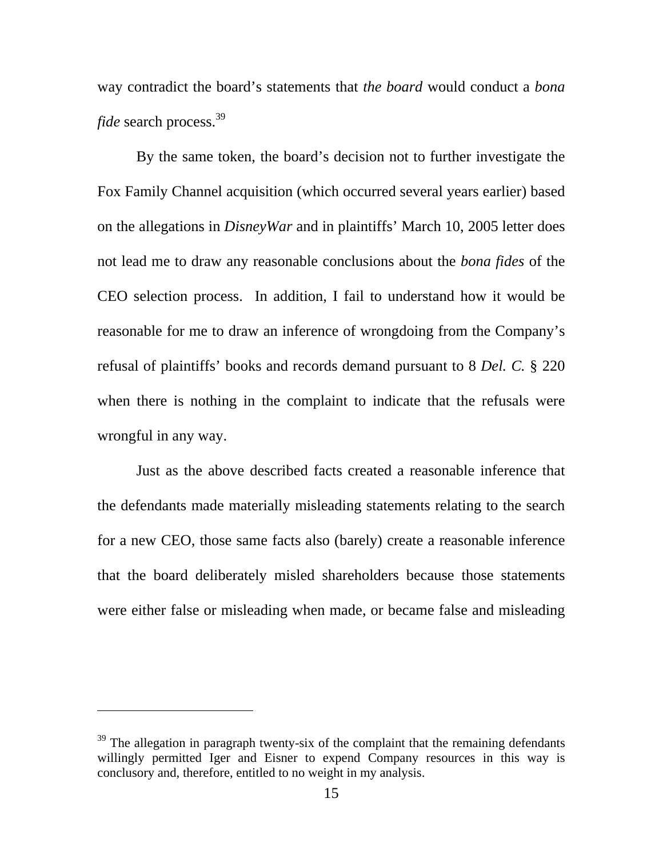way contradict the board's statements that *the board* would conduct a *bona fide* search process.<sup>[39](#page-15-0)</sup>

By the same token, the board's decision not to further investigate the Fox Family Channel acquisition (which occurred several years earlier) based on the allegations in *DisneyWar* and in plaintiffs' March 10, 2005 letter does not lead me to draw any reasonable conclusions about the *bona fides* of the CEO selection process. In addition, I fail to understand how it would be reasonable for me to draw an inference of wrongdoing from the Company's refusal of plaintiffs' books and records demand pursuant to 8 *Del. C.* § 220 when there is nothing in the complaint to indicate that the refusals were wrongful in any way.

Just as the above described facts created a reasonable inference that the defendants made materially misleading statements relating to the search for a new CEO, those same facts also (barely) create a reasonable inference that the board deliberately misled shareholders because those statements were either false or misleading when made, or became false and misleading

<span id="page-15-0"></span> $39$  The allegation in paragraph twenty-six of the complaint that the remaining defendants willingly permitted Iger and Eisner to expend Company resources in this way is conclusory and, therefore, entitled to no weight in my analysis.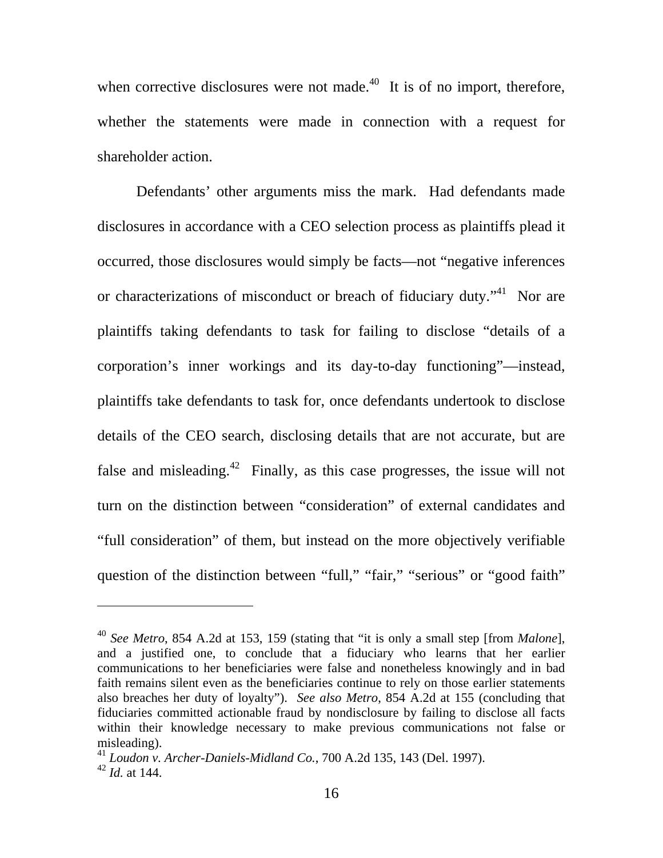when corrective disclosures were not made. $^{40}$  It is of no import, therefore, whether the statements were made in connection with a request for shareholder action.

Defendants' other arguments miss the mark. Had defendants made disclosures in accordance with a CEO selection process as plaintiffs plead it occurred, those disclosures would simply be facts—not "negative inferences or characterizations of misconduct or breach of fiduciary duty."<sup>41</sup> Nor are plaintiffs taking defendants to task for failing to disclose "details of a corporation's inner workings and its day-to-day functioning"—instead, plaintiffs take defendants to task for, once defendants undertook to disclose details of the CEO search, disclosing details that are not accurate, but are false and misleading. $42$  Finally, as this case progresses, the issue will not turn on the distinction between "consideration" of external candidates and "full consideration" of them, but instead on the more objectively verifiable question of the distinction between "full," "fair," "serious" or "good faith"

<span id="page-16-0"></span><sup>40</sup> *See Metro*, 854 A.2d at 153, 159 (stating that "it is only a small step [from *Malone*], and a justified one, to conclude that a fiduciary who learns that her earlier communications to her beneficiaries were false and nonetheless knowingly and in bad faith remains silent even as the beneficiaries continue to rely on those earlier statements also breaches her duty of loyalty"). *See also Metro*, 854 A.2d at 155 (concluding that fiduciaries committed actionable fraud by nondisclosure by failing to disclose all facts within their knowledge necessary to make previous communications not false or misleading).

<span id="page-16-2"></span><span id="page-16-1"></span><sup>41</sup> *Loudon v. Archer-Daniels-Midland Co.*, 700 A.2d 135, 143 (Del. 1997). <sup>42</sup> *Id.* at 144.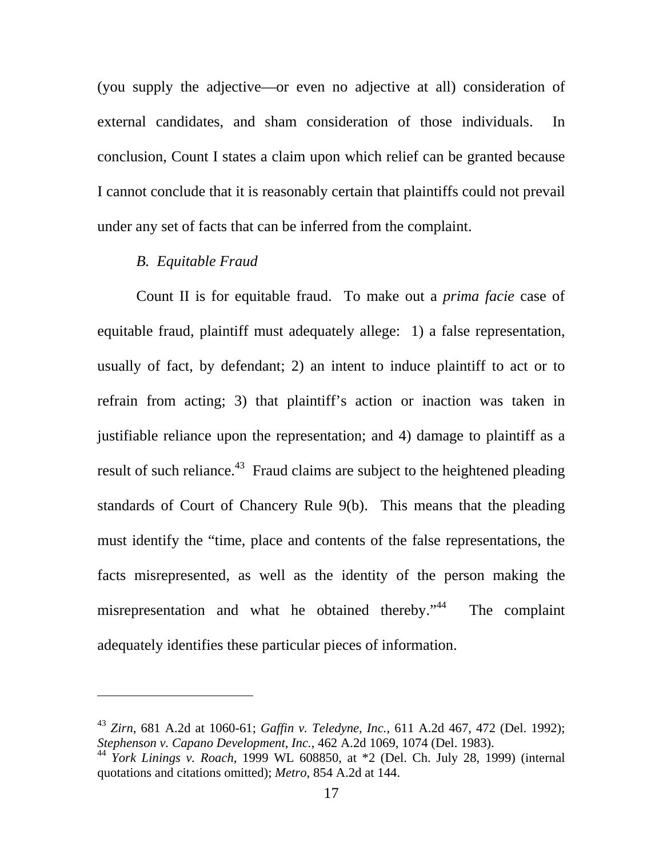(you supply the adjective—or even no adjective at all) consideration of external candidates, and sham consideration of those individuals. In conclusion, Count I states a claim upon which relief can be granted because I cannot conclude that it is reasonably certain that plaintiffs could not prevail under any set of facts that can be inferred from the complaint.

### *B. Equitable Fraud*

-

Count II is for equitable fraud. To make out a *prima facie* case of equitable fraud, plaintiff must adequately allege: 1) a false representation, usually of fact, by defendant; 2) an intent to induce plaintiff to act or to refrain from acting; 3) that plaintiff's action or inaction was taken in justifiable reliance upon the representation; and 4) damage to plaintiff as a result of such reliance.<sup>43</sup> Fraud claims are subject to the heightened pleading standards of Court of Chancery Rule 9(b). This means that the pleading must identify the "time, place and contents of the false representations, the facts misrepresented, as well as the identity of the person making the misrepresentation and what he obtained thereby."<sup>44</sup> The complaint adequately identifies these particular pieces of information.

<span id="page-17-0"></span><sup>43</sup> *Zirn*, 681 A.2d at 1060-61; *Gaffin v. Teledyne, Inc.*, 611 A.2d 467, 472 (Del. 1992); *Stephenson v. Capano Development, Inc.*, 462 A.2d 1069, 1074 (Del. 1983).

<span id="page-17-1"></span><sup>44</sup> *York Linings v. Roach*, 1999 WL 608850, at \*2 (Del. Ch. July 28, 1999) (internal quotations and citations omitted); *Metro*, 854 A.2d at 144.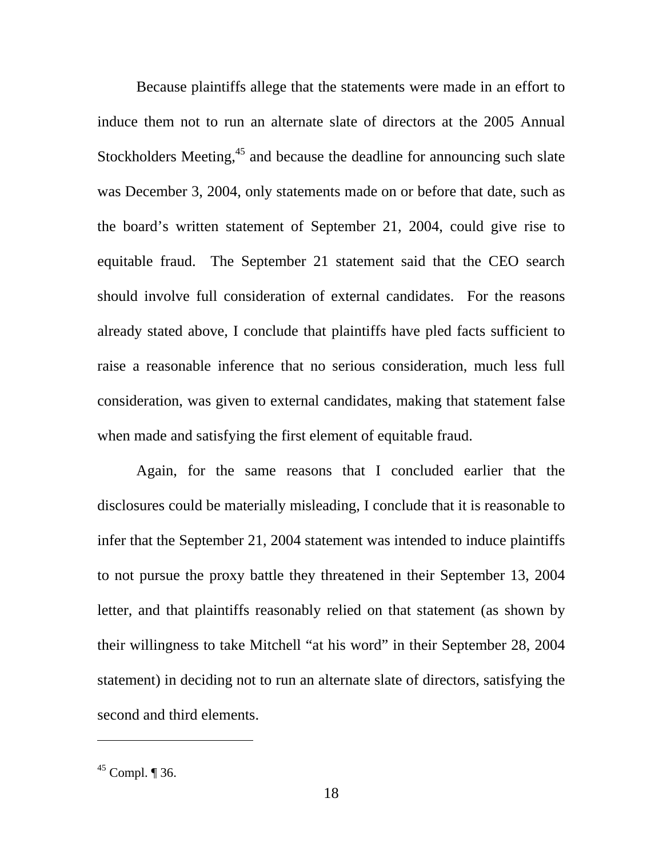Because plaintiffs allege that the statements were made in an effort to induce them not to run an alternate slate of directors at the 2005 Annual Stockholders Meeting, $45$  and because the deadline for announcing such slate was December 3, 2004, only statements made on or before that date, such as the board's written statement of September 21, 2004, could give rise to equitable fraud. The September 21 statement said that the CEO search should involve full consideration of external candidates. For the reasons already stated above, I conclude that plaintiffs have pled facts sufficient to raise a reasonable inference that no serious consideration, much less full consideration, was given to external candidates, making that statement false when made and satisfying the first element of equitable fraud.

Again, for the same reasons that I concluded earlier that the disclosures could be materially misleading, I conclude that it is reasonable to infer that the September 21, 2004 statement was intended to induce plaintiffs to not pursue the proxy battle they threatened in their September 13, 2004 letter, and that plaintiffs reasonably relied on that statement (as shown by their willingness to take Mitchell "at his word" in their September 28, 2004 statement) in deciding not to run an alternate slate of directors, satisfying the second and third elements.

-

<span id="page-18-0"></span> $45$  Compl. ¶ 36.